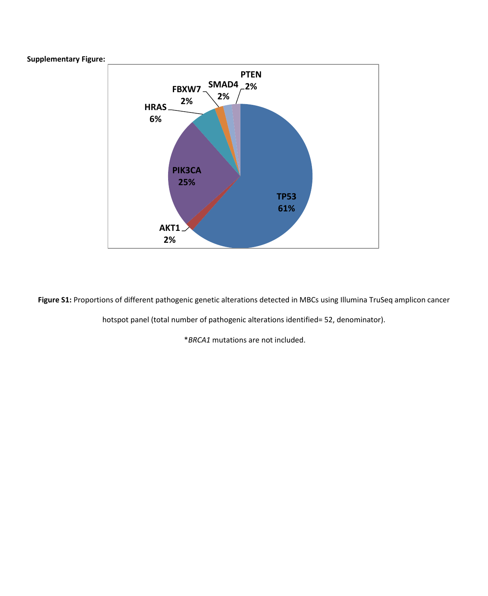



**Figure S1:** Proportions of different pathogenic genetic alterations detected in MBCs using Illumina TruSeq amplicon cancer

hotspot panel (total number of pathogenic alterations identified= 52, denominator).

\**BRCA1* mutations are not included.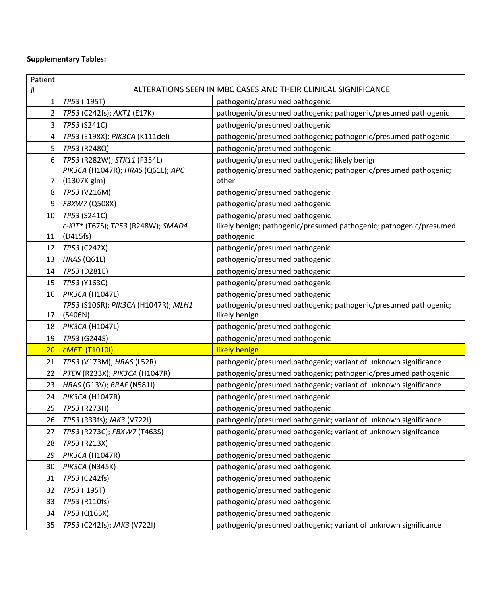## **Supplementary Tables:**

| Patient         |                                                               |                                                                    |  |  |  |
|-----------------|---------------------------------------------------------------|--------------------------------------------------------------------|--|--|--|
| #               | ALTERATIONS SEEN IN MBC CASES AND THEIR CLINICAL SIGNIFICANCE |                                                                    |  |  |  |
| 1               | TP53 (1195T)                                                  | pathogenic/presumed pathogenic                                     |  |  |  |
| 2               | TP53 (C242fs); AKT1 (E17K)                                    | pathogenic/presumed pathogenic; pathogenic/presumed pathogenic     |  |  |  |
| 3               | TP53 (S241C)                                                  | pathogenic/presumed pathogenic                                     |  |  |  |
| 4               | TP53 (E198X); PIK3CA (K111del)                                | pathogenic/presumed pathogenic; pathogenic/presumed pathogenic     |  |  |  |
| 5               | TP53 (R248Q)                                                  | pathogenic/presumed pathogenic                                     |  |  |  |
| 6               | TP53 (R282W); STK11 (F354L)                                   | pathogenic/presumed pathogenic; likely benign                      |  |  |  |
|                 | PIK3CA (H1047R); HRAS (Q61L); APC                             | pathogenic/presumed pathogenic; pathogenic/presumed pathogenic;    |  |  |  |
| 7               | (I1307K glm)                                                  | other                                                              |  |  |  |
| 8               | TP53 (V216M)                                                  | pathogenic/presumed pathogenic                                     |  |  |  |
| 9               | FBXW7 (Q508X)                                                 | pathogenic/presumed pathogenic                                     |  |  |  |
| 10              | TP53 (S241C)                                                  | pathogenic/presumed pathogenic                                     |  |  |  |
|                 | c-KIT* (T67S); TP53 (R248W); SMAD4                            | likely benign; pathogenic/presumed pathogenic; pathogenic/presumed |  |  |  |
| 11              | (D415fs)                                                      | pathogenic                                                         |  |  |  |
| 12              | TP53 (C242X)                                                  | pathogenic/presumed pathogenic                                     |  |  |  |
| 13              | HRAS (Q61L)                                                   | pathogenic/presumed pathogenic                                     |  |  |  |
| 14              | TP53 (D281E)                                                  | pathogenic/presumed pathogenic                                     |  |  |  |
| 15              | TP53 (Y163C)                                                  | pathogenic/presumed pathogenic                                     |  |  |  |
| 16              | PIK3CA (H1047L)                                               | pathogenic/presumed pathogenic                                     |  |  |  |
|                 | TP53 (S106R); PIK3CA (H1047R); MLH1                           | pathogenic/presumed pathogenic; pathogenic/presumed pathogenic;    |  |  |  |
| 17              | (S406N)                                                       | likely benign                                                      |  |  |  |
| 18              | PIK3CA (H1047L)                                               | pathogenic/presumed pathogenic                                     |  |  |  |
| 19              | TP53 (G244S)                                                  | pathogenic/presumed pathogenic                                     |  |  |  |
| 20 <sub>2</sub> | <b>CMET</b> (T1010I)                                          | likely benign                                                      |  |  |  |
| 21              | TP53 (V173M); HRAS (L52R)                                     | pathogenic/presumed pathogenic; variant of unknown significance    |  |  |  |
| 22              | PTEN (R233X); PIK3CA (H1047R)                                 | pathogenic/presumed pathogenic; pathogenic/presumed pathogenic     |  |  |  |
| 23              | HRAS (G13V); BRAF (N581I)                                     | pathogenic/presumed pathogenic; variant of unknown significance    |  |  |  |
| 24              | PIK3CA (H1047R)                                               | pathogenic/presumed pathogenic                                     |  |  |  |
| 25              | TP53 (R273H)                                                  | pathogenic/presumed pathogenic                                     |  |  |  |
| 26              | TP53 (R33fs); JAK3 (V722I)                                    | pathogenic/presumed pathogenic; variant of unknown significance    |  |  |  |
| 27              | TP53 (R273C); FBXW7 (T463S)                                   | pathogenic/presumed pathogenic; variant of unknown signifcance     |  |  |  |
| 28              | TP53 (R213X)                                                  | pathogenic/presumed pathogenic                                     |  |  |  |
| 29              | PIK3CA (H1047R)                                               | pathogenic/presumed pathogenic                                     |  |  |  |
| 30              | PIK3CA (N345K)                                                | pathogenic/presumed pathogenic                                     |  |  |  |
| 31              | TP53 (C242fs)                                                 | pathogenic/presumed pathogenic                                     |  |  |  |
| 32              | TP53 (1195T)                                                  | pathogenic/presumed pathogenic                                     |  |  |  |
| 33              | TP53 (R110fs)                                                 | pathogenic/presumed pathogenic                                     |  |  |  |
| 34              | TP53 (Q165X)                                                  | pathogenic/presumed pathogenic                                     |  |  |  |
| 35              | TP53 (C242fs); JAK3 (V722I)                                   | pathogenic/presumed pathogenic; variant of unknown significance    |  |  |  |
|                 |                                                               |                                                                    |  |  |  |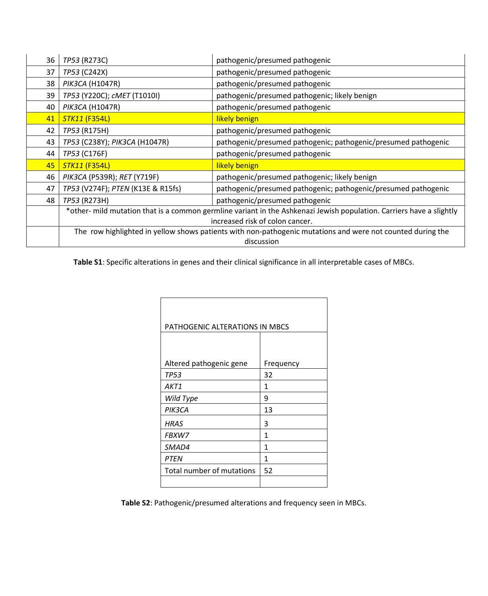| 36 | TP53 (R273C)                                                                                                         | pathogenic/presumed pathogenic                                 |  |  |
|----|----------------------------------------------------------------------------------------------------------------------|----------------------------------------------------------------|--|--|
| 37 | TP53 (C242X)                                                                                                         | pathogenic/presumed pathogenic                                 |  |  |
| 38 | PIK3CA (H1047R)                                                                                                      | pathogenic/presumed pathogenic                                 |  |  |
| 39 | TP53 (Y220C); cMET (T1010I)                                                                                          | pathogenic/presumed pathogenic; likely benign                  |  |  |
| 40 | PIK3CA (H1047R)                                                                                                      | pathogenic/presumed pathogenic                                 |  |  |
| 41 | <b>STK11 (F354L)</b>                                                                                                 | likely benign                                                  |  |  |
| 42 | TP53 (R175H)                                                                                                         | pathogenic/presumed pathogenic                                 |  |  |
| 43 | TP53 (C238Y); PIK3CA (H1047R)                                                                                        | pathogenic/presumed pathogenic; pathogenic/presumed pathogenic |  |  |
| 44 | TP53 (C176F)                                                                                                         | pathogenic/presumed pathogenic                                 |  |  |
| 45 | <b>STK11 (F354L)</b>                                                                                                 | likely benign                                                  |  |  |
| 46 | PIK3CA (P539R); RET (Y719F)                                                                                          | pathogenic/presumed pathogenic; likely benign                  |  |  |
| 47 | TP53 (V274F); PTEN (K13E & R15fs)                                                                                    | pathogenic/presumed pathogenic; pathogenic/presumed pathogenic |  |  |
| 48 | TP53 (R273H)                                                                                                         | pathogenic/presumed pathogenic                                 |  |  |
|    | *other- mild mutation that is a common germline variant in the Ashkenazi Jewish population. Carriers have a slightly |                                                                |  |  |
|    | increased risk of colon cancer.                                                                                      |                                                                |  |  |
|    | The row highlighted in yellow shows patients with non-pathogenic mutations and were not counted during the           |                                                                |  |  |
|    | discussion                                                                                                           |                                                                |  |  |

**Table S1**: Specific alterations in genes and their clinical significance in all interpretable cases of MBCs.

| PATHOGENIC ALTERATIONS IN MBCS |           |  |  |
|--------------------------------|-----------|--|--|
| Altered pathogenic gene        | Frequency |  |  |
| <b>TP53</b>                    | 32        |  |  |
| AKT1                           | 1         |  |  |
| Wild Type                      | 9         |  |  |
| PIK3CA                         | 13        |  |  |
| HRAS                           | 3         |  |  |
| <b>FBXW7</b>                   | 1         |  |  |
| SMAD4                          | 1         |  |  |
| <b>PTEN</b>                    | 1         |  |  |
| Total number of mutations      | 52        |  |  |
|                                |           |  |  |

**Table S2**: Pathogenic/presumed alterations and frequency seen in MBCs.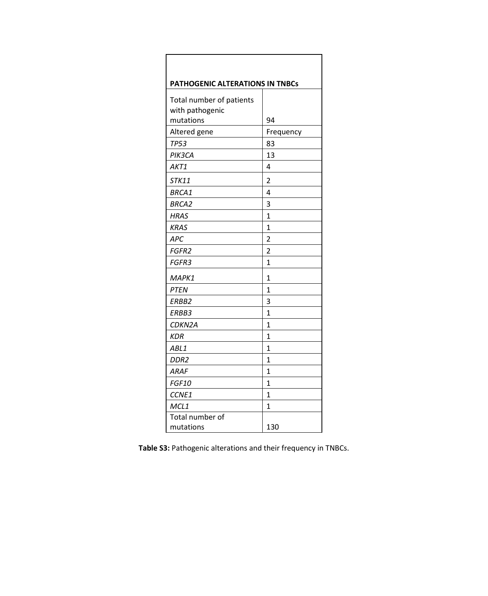| PATHOGENIC ALTERATIONS IN TNBCs             |                |  |  |
|---------------------------------------------|----------------|--|--|
| Total number of patients<br>with pathogenic |                |  |  |
| mutations                                   | 94             |  |  |
| Altered gene                                | Frequency      |  |  |
| <b>TP53</b>                                 | 83             |  |  |
| PIK3CA                                      | 13             |  |  |
| AKT1                                        | 4              |  |  |
| STK11                                       | $\overline{2}$ |  |  |
| BRCA1                                       | 4              |  |  |
| <b>BRCA2</b>                                | 3              |  |  |
| <b>HRAS</b>                                 | $\mathbf{1}$   |  |  |
| <b>KRAS</b>                                 | 1              |  |  |
| <b>APC</b>                                  | $\overline{2}$ |  |  |
| FGFR2                                       | $\overline{2}$ |  |  |
| FGFR3                                       | 1              |  |  |
| MAPK1                                       | 1              |  |  |
| <b>PTEN</b>                                 | $\overline{1}$ |  |  |
| ERBB2                                       | 3              |  |  |
| ERBB3                                       | $\overline{1}$ |  |  |
| CDKN2A                                      | 1              |  |  |
| KDR                                         | $\mathbf{1}$   |  |  |
| ABL1                                        | 1              |  |  |
| DDR2                                        | 1              |  |  |
| <b>ARAF</b>                                 | $\overline{1}$ |  |  |
| <b>FGF10</b>                                | $\mathbf{1}$   |  |  |
| CCNE1                                       | $\mathbf{1}$   |  |  |
| MCL1                                        | 1              |  |  |
| Total number of                             |                |  |  |
| mutations                                   | 130            |  |  |

**Table S3:** Pathogenic alterations and their frequency in TNBCs.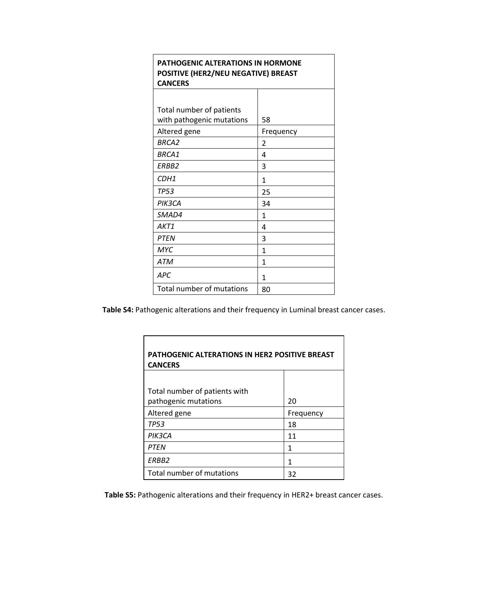| <b>PATHOGENIC ALTERATIONS IN HORMONE</b><br>POSITIVE (HER2/NEU NEGATIVE) BREAST<br><b>CANCERS</b> |                |  |  |
|---------------------------------------------------------------------------------------------------|----------------|--|--|
|                                                                                                   |                |  |  |
| Total number of patients<br>with pathogenic mutations                                             | 58             |  |  |
| Altered gene                                                                                      | Frequency      |  |  |
| BRCA <sub>2</sub>                                                                                 | $\overline{2}$ |  |  |
| BRCA1                                                                                             | 4              |  |  |
| FRBB <sub>2</sub>                                                                                 | 3              |  |  |
| CDH <sub>1</sub>                                                                                  | 1              |  |  |
| <b>TP53</b>                                                                                       | 25             |  |  |
| PIK3CA                                                                                            | 34             |  |  |
| SMAD4                                                                                             | $\mathbf{1}$   |  |  |
| AKT1                                                                                              | 4              |  |  |
| <b>PTEN</b>                                                                                       | 3              |  |  |
| <b>MYC</b>                                                                                        | 1              |  |  |
| <b>ATM</b>                                                                                        | 1              |  |  |
| <b>APC</b>                                                                                        | 1              |  |  |
| Total number of mutations                                                                         | 80             |  |  |

**Table S4:** Pathogenic alterations and their frequency in Luminal breast cancer cases.

| <b>PATHOGENIC ALTERATIONS IN HER2 POSITIVE BREAST</b><br><b>CANCERS</b> |           |  |  |
|-------------------------------------------------------------------------|-----------|--|--|
|                                                                         |           |  |  |
| Total number of patients with                                           |           |  |  |
| pathogenic mutations                                                    | 20        |  |  |
| Altered gene                                                            | Frequency |  |  |
| <b>TP53</b>                                                             | 18        |  |  |
| PIK3CA                                                                  | 11        |  |  |
| <b>PTFN</b>                                                             | 1         |  |  |
| FRBB <sub>2</sub>                                                       | 1         |  |  |
| Total number of mutations                                               | 32        |  |  |

**Table S5:** Pathogenic alterations and their frequency in HER2+ breast cancer cases.